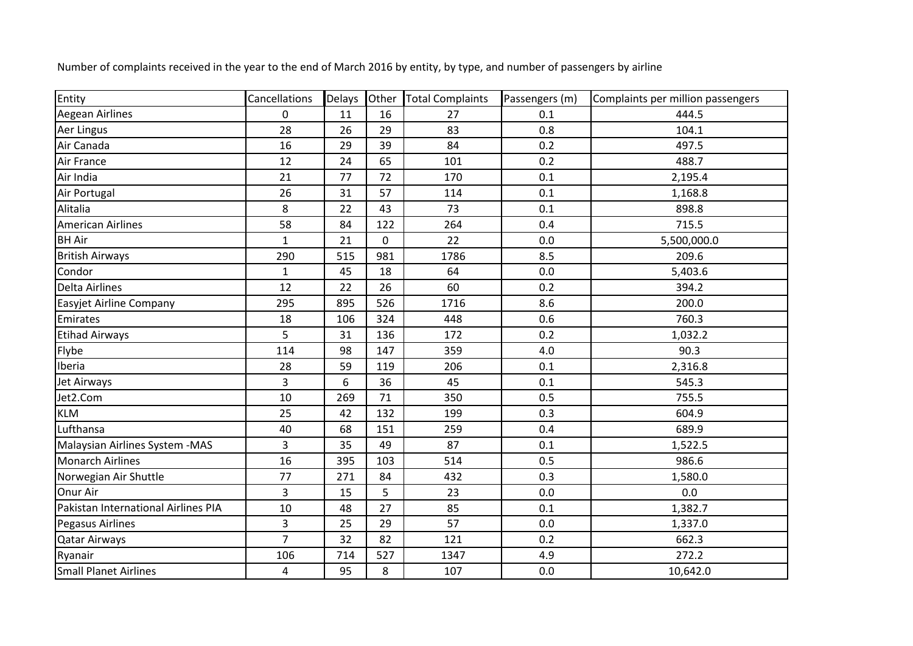| Entity                              | Cancellations  | Delays | Other | <b>Total Complaints</b> | Passengers (m) | Complaints per million passengers |
|-------------------------------------|----------------|--------|-------|-------------------------|----------------|-----------------------------------|
| <b>Aegean Airlines</b>              | $\mathbf 0$    | 11     | 16    | 27                      | 0.1            | 444.5                             |
| <b>Aer Lingus</b>                   | 28             | 26     | 29    | 83                      | 0.8            | 104.1                             |
| Air Canada                          | 16             | 29     | 39    | 84                      | 0.2            | 497.5                             |
| Air France                          | 12             | 24     | 65    | 101                     | 0.2            | 488.7                             |
| Air India                           | 21             | 77     | 72    | 170                     | 0.1            | 2,195.4                           |
| Air Portugal                        | 26             | 31     | 57    | 114                     | 0.1            | 1,168.8                           |
| Alitalia                            | 8              | 22     | 43    | 73                      | 0.1            | 898.8                             |
| <b>American Airlines</b>            | 58             | 84     | 122   | 264                     | 0.4            | 715.5                             |
| <b>BH Air</b>                       | $\mathbf{1}$   | 21     | 0     | 22                      | 0.0            | 5,500,000.0                       |
| <b>British Airways</b>              | 290            | 515    | 981   | 1786                    | 8.5            | 209.6                             |
| Condor                              | $\mathbf{1}$   | 45     | 18    | 64                      | 0.0            | 5,403.6                           |
| <b>Delta Airlines</b>               | 12             | 22     | 26    | 60                      | 0.2            | 394.2                             |
| Easyjet Airline Company             | 295            | 895    | 526   | 1716                    | 8.6            | 200.0                             |
| Emirates                            | 18             | 106    | 324   | 448                     | 0.6            | 760.3                             |
| <b>Etihad Airways</b>               | 5              | 31     | 136   | 172                     | 0.2            | 1,032.2                           |
| Flybe                               | 114            | 98     | 147   | 359                     | 4.0            | 90.3                              |
| Iberia                              | 28             | 59     | 119   | 206                     | 0.1            | 2,316.8                           |
| Jet Airways                         | 3              | 6      | 36    | 45                      | 0.1            | 545.3                             |
| Jet2.Com                            | 10             | 269    | 71    | 350                     | 0.5            | 755.5                             |
| <b>KLM</b>                          | 25             | 42     | 132   | 199                     | 0.3            | 604.9                             |
| Lufthansa                           | 40             | 68     | 151   | 259                     | 0.4            | 689.9                             |
| Malaysian Airlines System - MAS     | 3              | 35     | 49    | 87                      | 0.1            | 1,522.5                           |
| <b>Monarch Airlines</b>             | 16             | 395    | 103   | 514                     | 0.5            | 986.6                             |
| Norwegian Air Shuttle               | 77             | 271    | 84    | 432                     | 0.3            | 1,580.0                           |
| Onur Air                            | 3              | 15     | 5     | 23                      | 0.0            | 0.0                               |
| Pakistan International Airlines PIA | 10             | 48     | 27    | 85                      | 0.1            | 1,382.7                           |
| <b>Pegasus Airlines</b>             | 3              | 25     | 29    | 57                      | 0.0            | 1,337.0                           |
| <b>Qatar Airways</b>                | $\overline{7}$ | 32     | 82    | 121                     | 0.2            | 662.3                             |
| Ryanair                             | 106            | 714    | 527   | 1347                    | 4.9            | 272.2                             |
| <b>Small Planet Airlines</b>        | $\overline{4}$ | 95     | 8     | 107                     | 0.0            | 10,642.0                          |

Number of complaints received in the year to the end of March 2016 by entity, by type, and number of passengers by airline